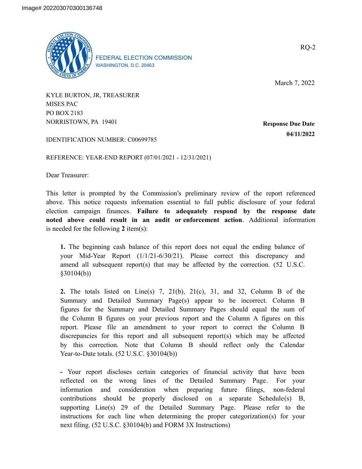

FEDERAL ELECTION COMMISSION WASHINGTON, D.C. 20463

March 7, 2022

KYLE BURTON, JR, TREASURER MISES PAC PO BOX 2183 NORRISTOWN, PA 19401

**Response Due Date 04/11/2022**

IDENTIFICATION NUMBER: C00699785

REFERENCE: YEAR-END REPORT (07/01/2021 - 12/31/2021)

Dear Treasurer:

This letter is prompted by the Commission's preliminary review of the report referenced above. This notice requests information essential to full public disclosure of your federal election campaign finances. **Failure to adequately respond by the response date noted above could result in an audit or enforcement action**. Additional information is needed for the following **2** item(s):

**1.** The beginning cash balance of this report does not equal the ending balance of your Mid-Year Report (1/1/21-6/30/21). Please correct this discrepancy and amend all subsequent report(s) that may be affected by the correction. (52 U.S.C. §30104(b))

**2.** The totals listed on Line(s) 7, 21(b), 21(c), 31, and 32, Column B of the Summary and Detailed Summary Page(s) appear to be incorrect. Column B figures for the Summary and Detailed Summary Pages should equal the sum of the Column B figures on your previous report and the Column A figures on this report. Please file an amendment to your report to correct the Column B discrepancies for this report and all subsequent report(s) which may be affected by this correction. Note that Column B should reflect only the Calendar Year-to-Date totals. (52 U.S.C. §30104(b))

**-** Your report discloses certain categories of financial activity that have been reflected on the wrong lines of the Detailed Summary Page. For your information and consideration when preparing future filings, non-federal contributions should be properly disclosed on a separate Schedule(s) B, supporting Line(s) 29 of the Detailed Summary Page. Please refer to the instructions for each line when determining the proper categorization(s) for your next filing. (52 U.S.C. §30104(b) and FORM 3X Instructions)

RQ-2